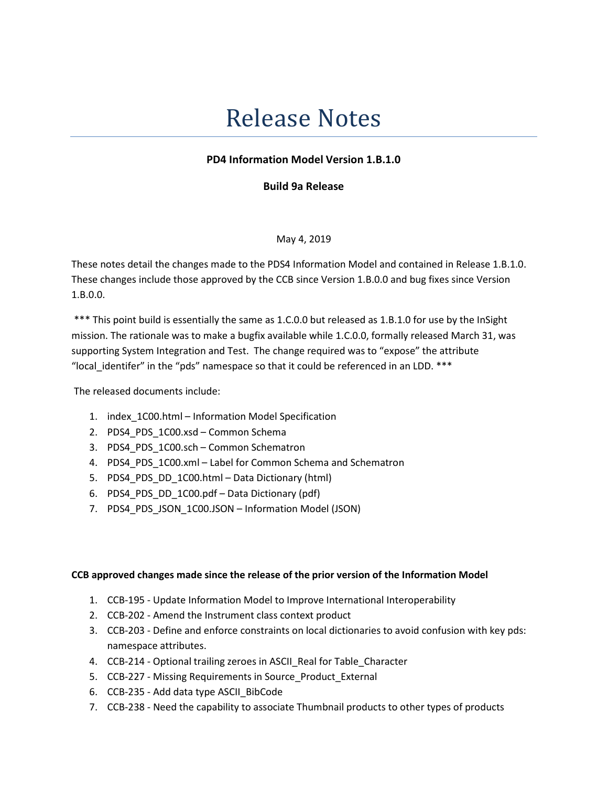# Release Notes

# PD4 Information Model Version 1.B.1.0

Build 9a Release

May 4, 2019

These notes detail the changes made to the PDS4 Information Model and contained in Release 1.B.1.0. These changes include those approved by the CCB since Version 1.B.0.0 and bug fixes since Version 1.B.0.0.

 \*\*\* This point build is essentially the same as 1.C.0.0 but released as 1.B.1.0 for use by the InSight mission. The rationale was to make a bugfix available while 1.C.0.0, formally released March 31, was supporting System Integration and Test. The change required was to "expose" the attribute "local\_identifer" in the "pds" namespace so that it could be referenced in an LDD. \*\*\*

The released documents include:

- 1. index\_1C00.html Information Model Specification
- 2. PDS4\_PDS\_1C00.xsd Common Schema
- 3. PDS4\_PDS\_1C00.sch Common Schematron
- 4. PDS4 PDS 1C00.xml Label for Common Schema and Schematron
- 5. PDS4\_PDS\_DD\_1C00.html Data Dictionary (html)
- 6. PDS4\_PDS\_DD\_1C00.pdf Data Dictionary (pdf)
- 7. PDS4 PDS JSON 1C00.JSON Information Model (JSON)

#### CCB approved changes made since the release of the prior version of the Information Model

- 1. CCB-195 Update Information Model to Improve International Interoperability
- 2. CCB-202 Amend the Instrument class context product
- 3. CCB-203 Define and enforce constraints on local dictionaries to avoid confusion with key pds: namespace attributes.
- 4. CCB-214 Optional trailing zeroes in ASCII\_Real for Table\_Character
- 5. CCB-227 Missing Requirements in Source\_Product\_External
- 6. CCB-235 Add data type ASCII\_BibCode
- 7. CCB-238 Need the capability to associate Thumbnail products to other types of products